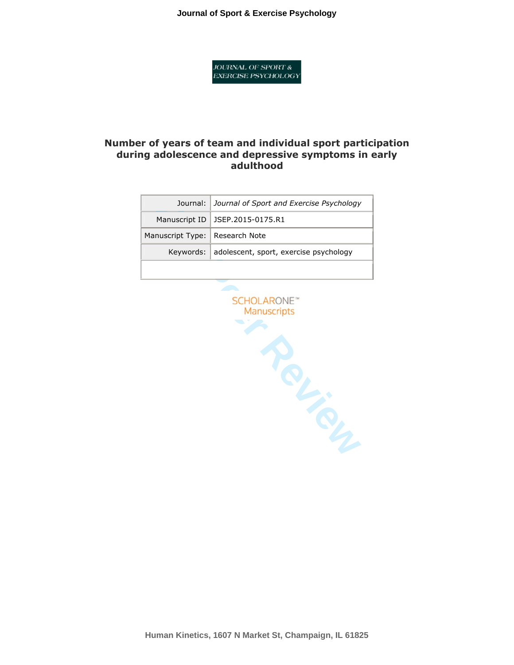**Journal of Sport & Exercise Psychology**

**JOURNAL OF SPORT & EXERCISE PSYCHOLOGY** 

## **Number of years of team and individual sport participation during adolescence and depressive symptoms in early adulthood**

|                                  | Journal: Journal of Sport and Exercise Psychology |  |
|----------------------------------|---------------------------------------------------|--|
|                                  | Manuscript ID   JSEP.2015-0175.R1                 |  |
| Manuscript Type:   Research Note |                                                   |  |
|                                  | Keywords: adolescent, sport, exercise psychology  |  |
|                                  |                                                   |  |

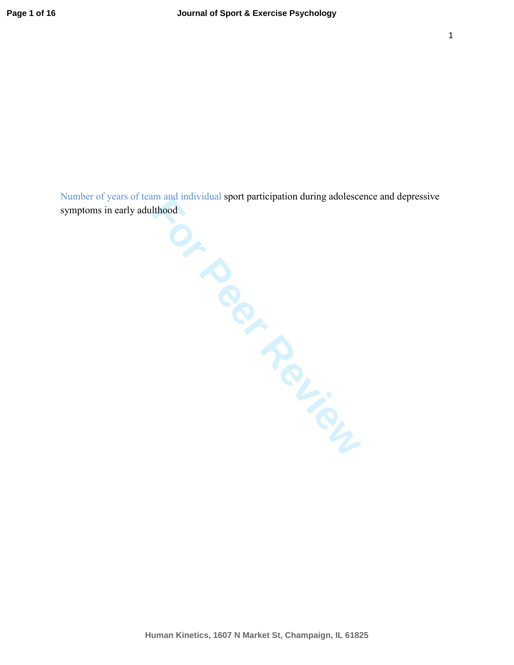Number of years of team and individual sport participation during adolescence and depressive symptoms in early adulthood

**For Perform**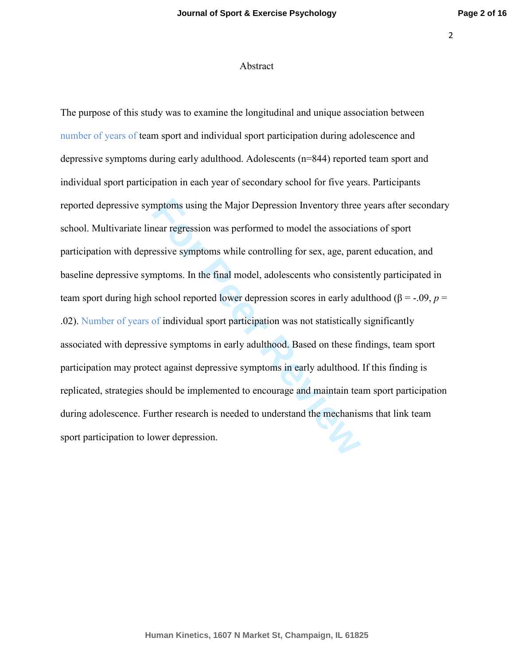#### Abstract

mptoms using the Major Depression Inventory three<br>
near regression was performed to model the associat<br>
essive symptoms while controlling for sex, age, pare<br>
mptoms. In the final model, adolescents who consist<br>
school repo The purpose of this study was to examine the longitudinal and unique association between number of years of team sport and individual sport participation during adolescence and depressive symptoms during early adulthood. Adolescents (n=844) reported team sport and individual sport participation in each year of secondary school for five years. Participants reported depressive symptoms using the Major Depression Inventory three years after secondary school. Multivariate linear regression was performed to model the associations of sport participation with depressive symptoms while controlling for sex, age, parent education, and baseline depressive symptoms. In the final model, adolescents who consistently participated in team sport during high school reported lower depression scores in early adulthood (β = -.09, *p* = .02). Number of years of individual sport participation was not statistically significantly associated with depressive symptoms in early adulthood. Based on these findings, team sport participation may protect against depressive symptoms in early adulthood. If this finding is replicated, strategies should be implemented to encourage and maintain team sport participation during adolescence. Further research is needed to understand the mechanisms that link team sport participation to lower depression.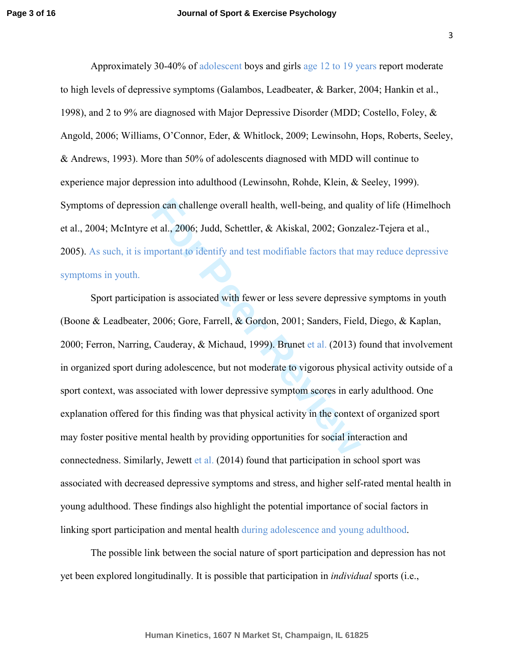Approximately 30-40% of adolescent boys and girls age 12 to 19 years report moderate to high levels of depressive symptoms (Galambos, Leadbeater, & Barker, 2004; Hankin et al., 1998), and 2 to 9% are diagnosed with Major Depressive Disorder (MDD; Costello, Foley, & Angold, 2006; Williams, O'Connor, Eder, & Whitlock, 2009; Lewinsohn, Hops, Roberts, Seeley, & Andrews, 1993). More than 50% of adolescents diagnosed with MDD will continue to experience major depression into adulthood (Lewinsohn, Rohde, Klein, & Seeley, 1999). Symptoms of depression can challenge overall health, well-being, and quality of life (Himelhoch et al., 2004; McIntyre et al., 2006; Judd, Schettler, & Akiskal, 2002; Gonzalez-Tejera et al., 2005). As such, it is important to identify and test modifiable factors that may reduce depressive symptoms in youth.

on can challenge overall health, well-being, and qual<br>
Et al., 2006; Judd, Schettler, & Akiskal, 2002; Gonza<br>
pportant to identify and test modifiable factors that n<br>
fion is associated with fewer or less severe depressiv<br> Sport participation is associated with fewer or less severe depressive symptoms in youth (Boone & Leadbeater, 2006; Gore, Farrell, & Gordon, 2001; Sanders, Field, Diego, & Kaplan, 2000; Ferron, Narring, Cauderay, & Michaud, 1999). Brunet et al. (2013) found that involvement in organized sport during adolescence, but not moderate to vigorous physical activity outside of a sport context, was associated with lower depressive symptom scores in early adulthood. One explanation offered for this finding was that physical activity in the context of organized sport may foster positive mental health by providing opportunities for social interaction and connectedness. Similarly, Jewett et al. (2014) found that participation in school sport was associated with decreased depressive symptoms and stress, and higher self-rated mental health in young adulthood. These findings also highlight the potential importance of social factors in linking sport participation and mental health during adolescence and young adulthood.

 The possible link between the social nature of sport participation and depression has not yet been explored longitudinally. It is possible that participation in *individual* sports (i.e.,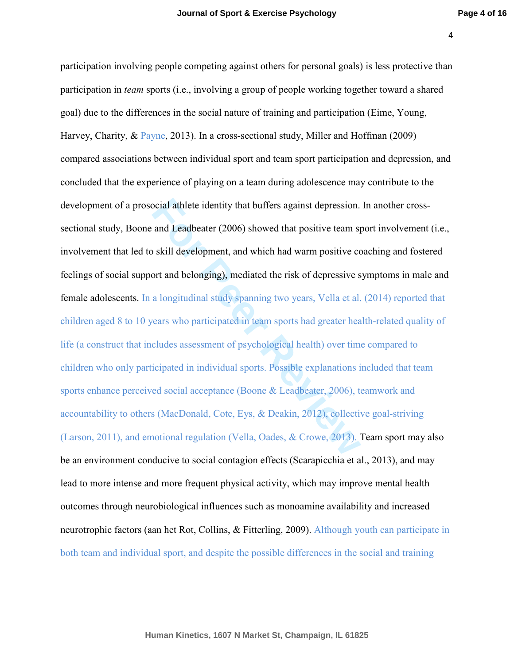ocial athlete identity that buffers against depression.<br>
and Leadbeater (2006) showed that positive team sp<br>
skill development, and which had warm positive co<br>
ort and belonging), mediated the risk of depressive s<br>
a longi participation involving people competing against others for personal goals) is less protective than participation in *team* sports (i.e., involving a group of people working together toward a shared goal) due to the differences in the social nature of training and participation (Eime, Young, Harvey, Charity, & Payne, 2013). In a cross-sectional study, Miller and Hoffman (2009) compared associations between individual sport and team sport participation and depression, and concluded that the experience of playing on a team during adolescence may contribute to the development of a prosocial athlete identity that buffers against depression. In another crosssectional study, Boone and Leadbeater (2006) showed that positive team sport involvement (i.e., involvement that led to skill development, and which had warm positive coaching and fostered feelings of social support and belonging), mediated the risk of depressive symptoms in male and female adolescents. In a longitudinal study spanning two years, Vella et al. (2014) reported that children aged 8 to 10 years who participated in team sports had greater health-related quality of life (a construct that includes assessment of psychological health) over time compared to children who only participated in individual sports. Possible explanations included that team sports enhance perceived social acceptance (Boone & Leadbeater, 2006), teamwork and accountability to others (MacDonald, Cote, Eys, & Deakin, 2012), collective goal-striving (Larson, 2011), and emotional regulation (Vella, Oades, & Crowe, 2013). Team sport may also be an environment conducive to social contagion effects (Scarapicchia et al., 2013), and may lead to more intense and more frequent physical activity, which may improve mental health outcomes through neurobiological influences such as monoamine availability and increased neurotrophic factors (aan het Rot, Collins, & Fitterling, 2009). Although youth can participate in both team and individual sport, and despite the possible differences in the social and training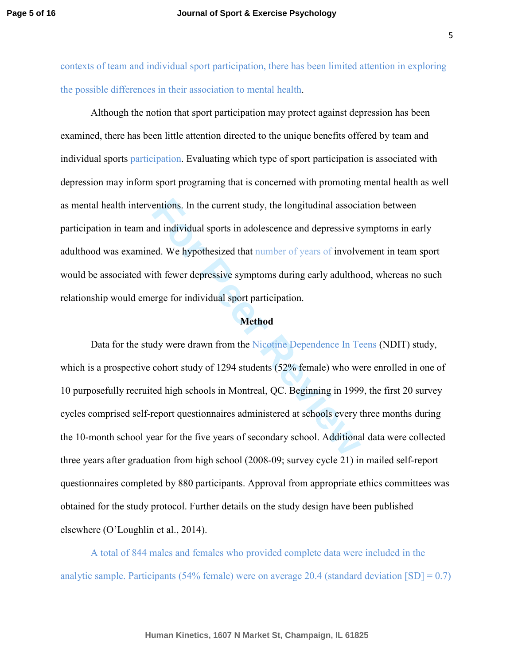contexts of team and individual sport participation, there has been limited attention in exploring the possible differences in their association to mental health.

 Although the notion that sport participation may protect against depression has been examined, there has been little attention directed to the unique benefits offered by team and individual sports participation. Evaluating which type of sport participation is associated with depression may inform sport programing that is concerned with promoting mental health as well as mental health interventions. In the current study, the longitudinal association between participation in team and individual sports in adolescence and depressive symptoms in early adulthood was examined. We hypothesized that number of years of involvement in team sport would be associated with fewer depressive symptoms during early adulthood, whereas no such relationship would emerge for individual sport participation.

#### **Method**

entions. In the current study, the longitudinal associand individual sports in adolescence and depressive selentiand and the selection of the selection of the fewer depressive symptoms during early adulthomorring for indiv Data for the study were drawn from the Nicotine Dependence In Teens (NDIT) study, which is a prospective cohort study of 1294 students (52% female) who were enrolled in one of 10 purposefully recruited high schools in Montreal, QC. Beginning in 1999, the first 20 survey cycles comprised self-report questionnaires administered at schools every three months during the 10-month school year for the five years of secondary school. Additional data were collected three years after graduation from high school (2008-09; survey cycle 21) in mailed self-report questionnaires completed by 880 participants. Approval from appropriate ethics committees was obtained for the study protocol. Further details on the study design have been published elsewhere (O'Loughlin et al., 2014).

A total of 844 males and females who provided complete data were included in the analytic sample. Participants (54% female) were on average 20.4 (standard deviation  $[SD] = 0.7$ )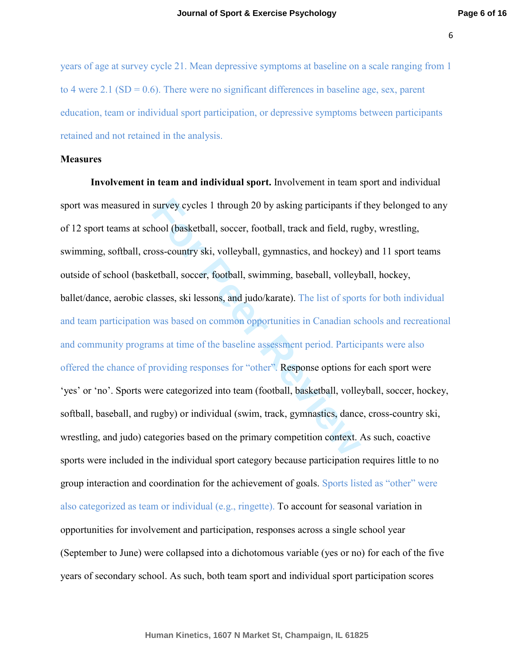years of age at survey cycle 21. Mean depressive symptoms at baseline on a scale ranging from 1 to 4 were 2.1 (SD =  $0.6$ ). There were no significant differences in baseline age, sex, parent education, team or individual sport participation, or depressive symptoms between participants retained and not retained in the analysis.

## **Measures**

survey cycles 1 through 20 by asking participants if<br>hool (basketball, soccer, football, track and field, rug<br>oss-country ski, volleyball, gymnastics, and hockey)<br>retball, soccer, football, swimming, baseball, volleyb<br>lass **Involvement in team and individual sport.** Involvement in team sport and individual sport was measured in survey cycles 1 through 20 by asking participants if they belonged to any of 12 sport teams at school (basketball, soccer, football, track and field, rugby, wrestling, swimming, softball, cross-country ski, volleyball, gymnastics, and hockey) and 11 sport teams outside of school (basketball, soccer, football, swimming, baseball, volleyball, hockey, ballet/dance, aerobic classes, ski lessons, and judo/karate). The list of sports for both individual and team participation was based on common opportunities in Canadian schools and recreational and community programs at time of the baseline assessment period. Participants were also offered the chance of providing responses for "other". Response options for each sport were 'yes' or 'no'. Sports were categorized into team (football, basketball, volleyball, soccer, hockey, softball, baseball, and rugby) or individual (swim, track, gymnastics, dance, cross-country ski, wrestling, and judo) categories based on the primary competition context. As such, coactive sports were included in the individual sport category because participation requires little to no group interaction and coordination for the achievement of goals. Sports listed as "other" were also categorized as team or individual (e.g., ringette). To account for seasonal variation in opportunities for involvement and participation, responses across a single school year (September to June) were collapsed into a dichotomous variable (yes or no) for each of the five years of secondary school. As such, both team sport and individual sport participation scores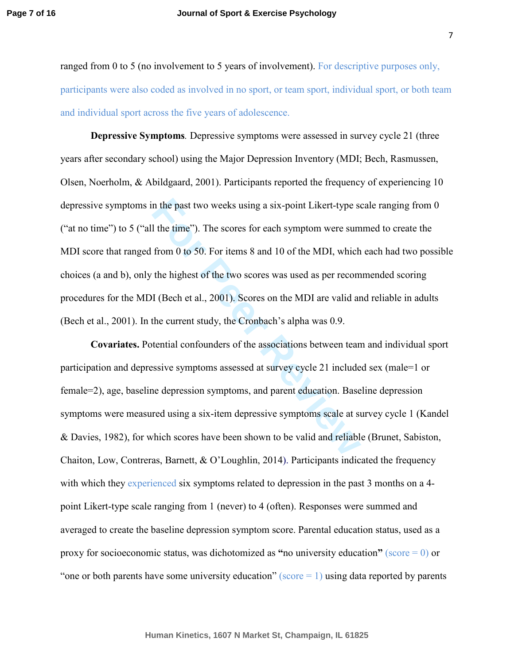ranged from 0 to 5 (no involvement to 5 years of involvement). For descriptive purposes only, participants were also coded as involved in no sport, or team sport, individual sport, or both team and individual sport across the five years of adolescence.

I the time"). The scores for each symptom were sum<br>from 0 to 50. For items 8 and 10 of the MDI, which<br>the highest of the two scores was used as per recom<br>I (Bech et al., 2001). Scores on the MDI are valid ar<br>the current st **Depressive Symptoms***.* Depressive symptoms were assessed in survey cycle 21 (three years after secondary school) using the Major Depression Inventory (MDI; Bech, Rasmussen, Olsen, Noerholm, & Abildgaard, 2001). Participants reported the frequency of experiencing 10 depressive symptoms in the past two weeks using a six-point Likert-type scale ranging from 0 ("at no time") to 5 ("all the time"). The scores for each symptom were summed to create the MDI score that ranged from 0 to 50. For items 8 and 10 of the MDI, which each had two possible choices (a and b), only the highest of the two scores was used as per recommended scoring procedures for the MDI (Bech et al., 2001). Scores on the MDI are valid and reliable in adults (Bech et al., 2001). In the current study, the Cronbach's alpha was 0.9.

**Covariates.** Potential confounders of the associations between team and individual sport participation and depressive symptoms assessed at survey cycle 21 included sex (male=1 or female=2), age, baseline depression symptoms, and parent education. Baseline depression symptoms were measured using a six-item depressive symptoms scale at survey cycle 1 (Kandel & Davies, 1982), for which scores have been shown to be valid and reliable (Brunet, Sabiston, Chaiton, Low, Contreras, Barnett, & O'Loughlin, 201 4). Participants indicated the frequency with which they experienced six symptoms related to depression in the past 3 months on a 4point Likert-type scale ranging from 1 (never) to 4 (often). Responses were summed and averaged to create the baseline depression symptom score. Parental education status, used as a proxy for socioeconomic status, was dichotomized as **"**no university education**"** (score = 0) or "one or both parents have some university education" ( $score = 1$ ) using data reported by parents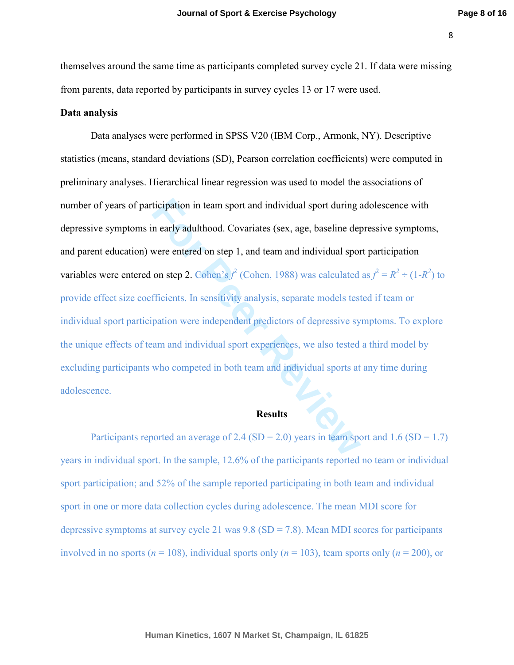themselves around the same time as participants completed survey cycle 21. If data were missing from parents, data reported by participants in survey cycles 13 or 17 were used.

## **Data analysis**

iticipation in team sport and individual sport during a<br>
n early adulthood. Covariates (sex, age, baseline dep<br>
were entered on step 1, and team and individual sport<br>
on step 2. Cohen's  $f^2$  (Cohen, 1988) was calculated<br> Data analyses were performed in SPSS V20 (IBM Corp., Armonk, NY). Descriptive statistics (means, standard deviations (SD), Pearson correlation coefficients) were computed in preliminary analyses. Hierarchical linear regression was used to model the associations of number of years of participation in team sport and individual sport during adolescence with depressive symptoms in early adulthood. Covariates (sex, age, baseline depressive symptoms, and parent education) were entered on step 1, and team and individual sport participation variables were entered on step 2. Cohen's  $f^2$  (Cohen, 1988) was calculated as  $f^2 = R^2 \div (1 - R^2)$  to provide effect size coefficients. In sensitivity analysis, separate models tested if team or individual sport participation were independent predictors of depressive symptoms. To explore the unique effects of team and individual sport experiences, we also tested a third model by excluding participants who competed in both team and individual sports at any time during adolescence.

#### **Results**

Participants reported an average of 2.4 (SD = 2.0) years in team sport and 1.6 (SD = 1.7) years in individual sport. In the sample, 12.6% of the participants reported no team or individual sport participation; and 52% of the sample reported participating in both team and individual sport in one or more data collection cycles during adolescence. The mean MDI score for depressive symptoms at survey cycle 21 was  $9.8$  (SD = 7.8). Mean MDI scores for participants involved in no sports ( $n = 108$ ), individual sports only ( $n = 103$ ), team sports only ( $n = 200$ ), or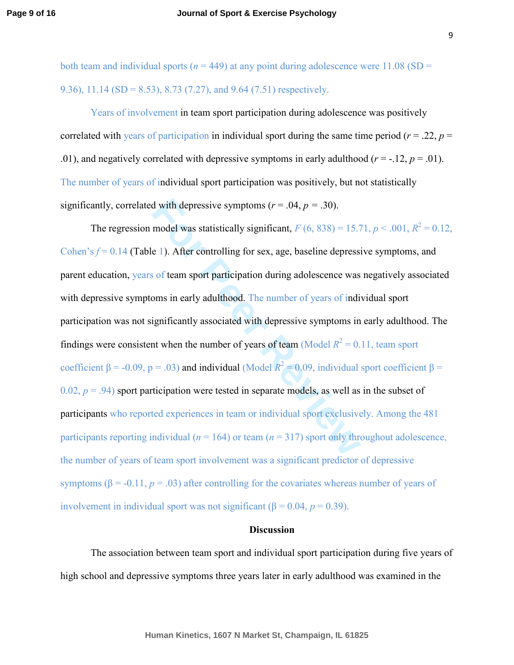both team and individual sports ( $n = 449$ ) at any point during adolescence were 11.08 (SD = 9.36), 11.14 (SD = 8.53), 8.73 (7.27), and 9.64 (7.51) respectively.

Years of involvement in team sport participation during adolescence was positively correlated with years of participation in individual sport during the same time period ( $r = .22$ ,  $p =$ .01), and negatively correlated with depressive symptoms in early adulthood  $(r = -12, p = .01)$ . The number of years of individual sport participation was positively, but not statistically significantly, correlated with depressive symptoms  $(r = .04, p = .30)$ .

d with depressive symptoms ( $r = .04$ ,  $p = .30$ ).<br>
model was statistically significant,  $F(6, 838) = 15.7$ <br>
e 1). After controlling for sex, age, baseline depressi<br>
sof team sport participation during adolescence was<br>
oms in The regression model was statistically significant,  $F(6, 838) = 15.71, p < .001, R^2 = 0.12,$ Cohen's  $f = 0.14$  (Table 1). After controlling for sex, age, baseline depressive symptoms, and parent education, years of team sport participation during adolescence was negatively associated with depressive symptoms in early adulthood. The number of years of individual sport participation was not significantly associated with depressive symptoms in early adulthood. The findings were consistent when the number of years of team (Model  $R^2 = 0.11$ , team sport coefficient  $\beta$  = -0.09, p = .03) and individual (Model  $R^2$  = 0.09, individual sport coefficient  $\beta$  =  $(0.02, p = .94)$  sport participation were tested in separate models, as well as in the subset of participants who reported experiences in team or individual sport exclusively. Among the 481 participants reporting individual ( $n = 164$ ) or team ( $n = 317$ ) sport only throughout adolescence, the number of years of team sport involvement was a significant predictor of depressive symptoms  $(\beta = -0.11, p = .03)$  after controlling for the covariates whereas number of years of involvement in individual sport was not significant ( $β = 0.04, p = 0.39$ ).

### **Discussion**

The association between team sport and individual sport participation during five years of high school and depressive symptoms three years later in early adulthood was examined in the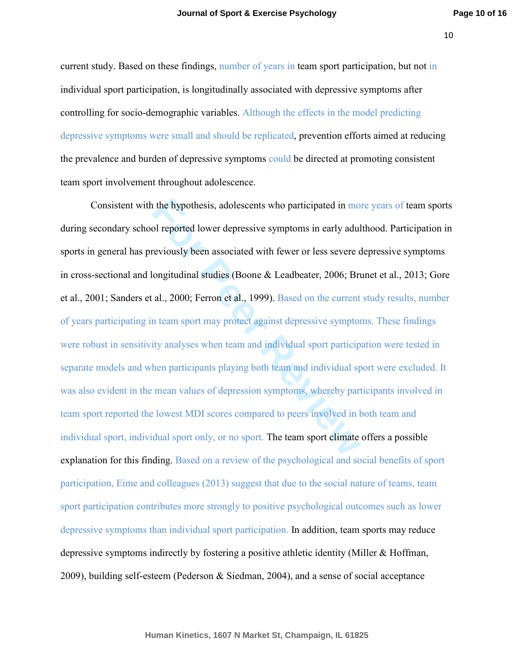current study. Based on these findings, number of years in team sport participation, but not in individual sport participation, is longitudinally associated with depressive symptoms after controlling for socio-demographic variables. Although the effects in the model predicting depressive symptoms were small and should be replicated, prevention efforts aimed at reducing the prevalence and burden of depressive symptoms could be directed at promoting consistent team sport involvement throughout adolescence.

If the hypothesis, adolescents who participated in motion of reported lower depressive symptoms in early adulter reviously been associated with fewer or less severe congitudinal studies (Boone & Leadbeater, 2006; Brundl., Consistent with the hypothesis, adolescents who participated in more years of team sports during secondary school reported lower depressive symptoms in early adulthood. Participation in sports in general has previously been associated with fewer or less severe depressive symptoms in cross-sectional and longitudinal studies (Boone & Leadbeater, 2006; Brunet et al., 2013; Gore et al., 2001; Sanders et al., 2000; Ferron et al., 1999). Based on the current study results, number of years participating in team sport may protect against depressive symptoms. These findings were robust in sensitivity analyses when team and individual sport participation were tested in separate models and when participants playing both team and individual sport were excluded. It was also evident in the mean values of depression symptoms, whereby participants involved in team sport reported the lowest MDI scores compared to peers involved in both team and individual sport, individual sport only, or no sport. The team sport climate offers a possible explanation for this finding. Based on a review of the psychological and social benefits of sport participation, Eime and colleagues (2013) suggest that due to the social nature of teams, team sport participation contributes more strongly to positive psychological outcomes such as lower depressive symptoms than individual sport participation. In addition, team sports may reduce depressive symptoms indirectly by fostering a positive athletic identity (Miller & Hoffman, 2009), building self-esteem (Pederson & Siedman, 2004), and a sense of social acceptance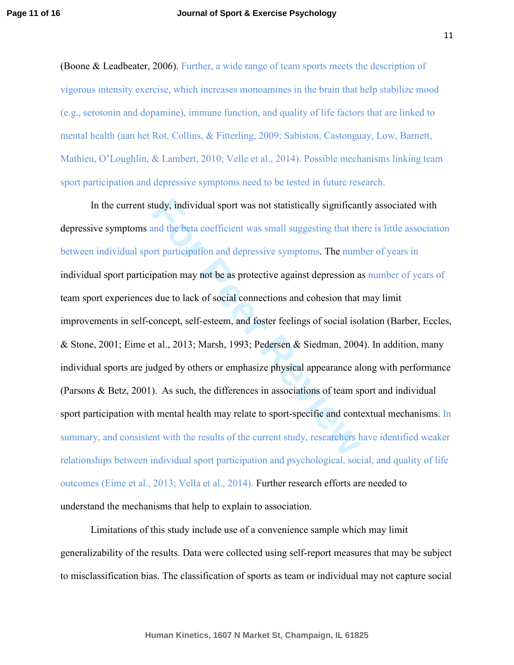(Boone & Leadbeater, 2006). Further, a wide range of team sports meets the description of vigorous intensity exercise, which increases monoamines in the brain that help stabilize mood (e.g., serotonin and dopamine), immune function, and quality of life factors that are linked to mental health (aan het Rot, Collins, & Fitterling, 2009; Sabiston, Castonguay, Low, Barnett, Mathieu, O'Loughlin, & Lambert, 2010; Velle et al., 2014). Possible mechanisms linking team sport participation and depressive symptoms need to be tested in future research.

tudy, individual sport was not statistically significan<br>
and the beta coefficient was small suggesting that the<br>
positive of performance and depressive symptoms. The num<br>
pation may not be as protective against depression In the current study, individual sport was not statistically significantly associated with depressive symptoms and the beta coefficient was small suggesting that there is little association between individual sport participation and depressive symptoms. The number of years in individual sport participation may not be as protective against depression as number of years of team sport experiences due to lack of social connections and cohesion that may limit improvements in self-concept, self-esteem, and foster feelings of social isolation (Barber, Eccles, & Stone, 2001; Eime et al., 2013; Marsh, 1993; Pedersen & Siedman, 2004). In addition, many individual sports are judged by others or emphasize physical appearance along with performance (Parsons & Betz, 2001). As such, the differences in associations of team sport and individual sport participation with mental health may relate to sport-specific and contextual mechanisms. In summary, and consistent with the results of the current study, researchers have identified weaker relationships between individual sport participation and psychological, social, and quality of life outcomes (Eime et al., 2013; Vella et al., 2014). Further research efforts are needed to understand the mechanisms that help to explain to association.

Limitations of this study include use of a convenience sample which may limit generalizability of the results. Data were collected using self-report measures that may be subject to misclassification bias. The classification of sports as team or individual may not capture social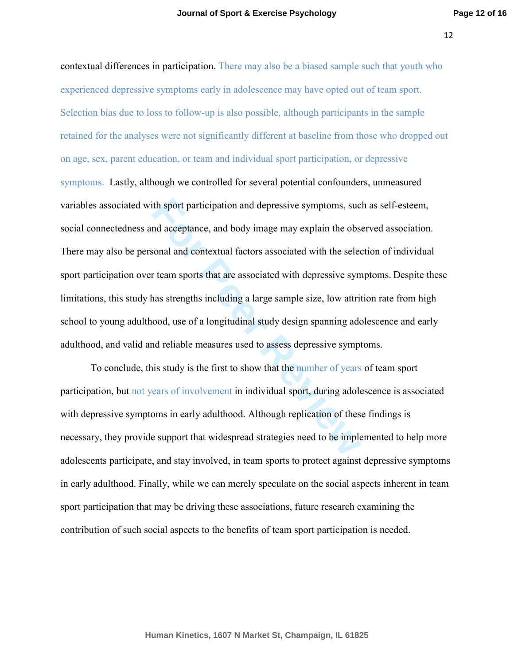it sport participation and depressive symptoms, sue<br>and acceptance, and body image may explain the obs<br>sonal and contextual factors associated with the selective symptoms strengths including a large sample size, low attrit contextual differences in participation. There may also be a biased sample such that youth who experienced depressive symptoms early in adolescence may have opted out of team sport. Selection bias due to loss to follow-up is also possible, although participants in the sample retained for the analyses were not significantly different at baseline from those who dropped out on age, sex, parent education, or team and individual sport participation, or depressive symptoms. Lastly, although we controlled for several potential confounders, unmeasured variables associated with sport participation and depressive symptoms, such as self-esteem, social connectedness and acceptance, and body image may explain the observed association. There may also be personal and contextual factors associated with the selection of individual sport participation over team sports that are associated with depressive symptoms. Despite these limitations, this study has strengths including a large sample size, low attrition rate from high school to young adulthood, use of a longitudinal study design spanning adolescence and early adulthood, and valid and reliable measures used to assess depressive symptoms.

 To conclude, this study is the first to show that the number of years of team sport participation, but not years of involvement in individual sport, during adolescence is associated with depressive symptoms in early adulthood. Although replication of these findings is necessary, they provide support that widespread strategies need to be implemented to help more adolescents participate, and stay involved, in team sports to protect against depressive symptoms in early adulthood. Finally, while we can merely speculate on the social aspects inherent in team sport participation that may be driving these associations, future research examining the contribution of such social aspects to the benefits of team sport participation is needed.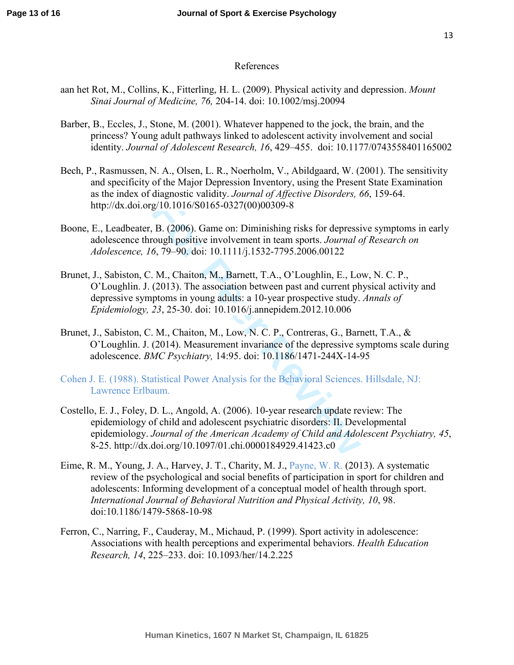## References

- aan het Rot, M., Collins, K., Fitterling, H. L. (2009). Physical activity and depression. *Mount Sinai Journal of Medicine, 76,* 204-14. doi: 10.1002/msj.20094
- Barber, B., Eccles, J., Stone, M. (2001). Whatever happened to the jock, the brain, and the princess? Young adult pathways linked to adolescent activity involvement and social identity. *Journal of Adolescent Research, 16*, 429–455.doi: 10.1177/0743558401165002
- Bech, P., Rasmussen, N. A., Olsen, L. R., Noerholm, V., Abildgaard, W. (2001). The sensitivity and specificity of the Major Depression Inventory, using the Present State Examination as the index of diagnostic validity. *Journal of Affective Disorders, 66*, 159-64. http://dx.doi.org/10.1016/S0165-0327(00)00309-8
- Boone, E., Leadbeater, B. (2006). Game on: Diminishing risks for depressive symptoms in early adolescence through positive involvement in team sports. *Journal of Research on Adolescence, 16*, 79–90. doi: 10.1111/j.1532-7795.2006.00122
- Brunet, J., Sabiston, C. M., Chaiton, M., Barnett, T.A., O'Loughlin, E., Low, N. C. P., O'Loughlin. J. (2013). The association between past and current physical activity and depressive symptoms in young adults: a 10-year prospective study. *Annals of Epidemiology, 23*, 25-30. doi: 10.1016/j.annepidem.2012.10.006
- Brunet, J., Sabiston, C. M., Chaiton, M., Low, N. C. P., Contreras, G., Barnett, T.A., & O'Loughlin. J. (2014). Measurement invariance of the depressive symptoms scale during adolescence. *BMC Psychiatry,* 14:95. doi: 10.1186/1471-244X-14-95
- Cohen J. E. (1988). Statistical Power Analysis for the Behavioral Sciences. Hillsdale, NJ: Lawrence Erlbaum.
- g/10.1016/S0165-0327(00)00309-8<br>
B. (2006). Game on: Diminishing risks for depressi<br>
ough positive involvement in team sports. *Journal c*<br>
6, 79–90. doi: 10.1111/j.1532-7795.2006.00122<br>
M., Chaiton, M., Barnett, T.A., O'L Costello, E. J., Foley, D. L., Angold, A. (2006). 10-year research update review: The epidemiology of child and adolescent psychiatric disorders: II. Developmental epidemiology. *Journal of the American Academy of Child and Adolescent Psychiatry, 45*, 8-25. http://dx.doi.org/10.1097/01.chi.0000184929.41423.c0
- Eime, R. M., Young, J. A., Harvey, J. T., Charity, M. J., Payne, W. R. (2013). A systematic review of the psychological and social benefits of participation in sport for children and adolescents: Informing development of a conceptual model of health through sport. *International Journal of Behavioral Nutrition and Physical Activity, 10*, 98. doi:10.1186/1479-5868-10-98
- Ferron, C., Narring, F., Cauderay, M., Michaud, P. (1999). Sport activity in adolescence: Associations with health perceptions and experimental behaviors. *Health Education Research, 14*, 225–233. doi: 10.1093/her/14.2.225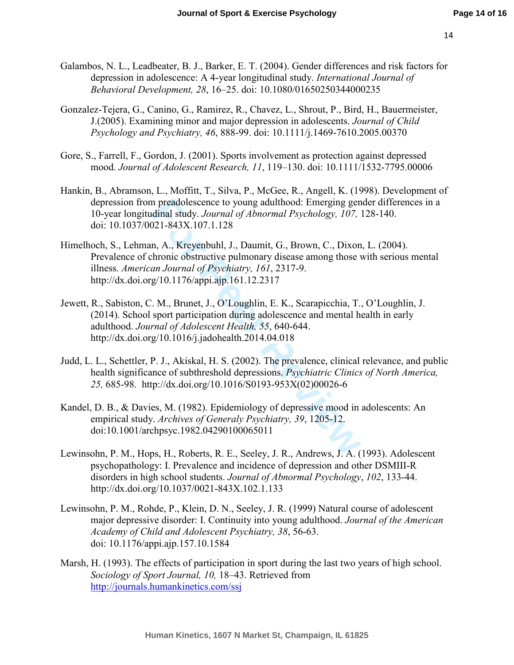- Galambos, N. L., Leadbeater, B. J., Barker, E. T. (2004). Gender differences and risk factors for depression in adolescence: A 4-year longitudinal study. *International Journal of Behavioral Development, 28*, 16–25. doi: 10.1080/01650250344000235
- Gonzalez-Tejera, G., Canino, G., Ramirez, R., Chavez, L., Shrout, P., Bird, H., Bauermeister, J.(2005). Examining minor and major depression in adolescents. *Journal of Child Psychology and Psychiatry, 46*, 888-99. doi: 10.1111/j.1469-7610.2005.00370
- Gore, S., Farrell, F., Gordon, J. (2001). Sports involvement as protection against depressed mood. *Journal of Adolescent Research, 11*, 119–130. doi: 10.1111/1532-7795.00006
- Hankin, B., Abramson, L., Moffitt, T., Silva, P., McGee, R., Angell, K. (1998). Development of depression from preadolescence to young adulthood: Emerging gender differences in a 10-year longitudinal study. *Journal of Abnormal Psychology, 107,* 128-140. doi: 10.1037/0021-843X.107.1.128
- n preadolescence to young adulthood: Emerging gen<br>dinal study. Journal of Abnormal Psychology, 107,<br>221-843X.107.1.128<br>n, A., Kreyenbuhl, J., Daumit, G., Brown, C., Dixon<br>hronic obstructive pulmonary disease among those v<br> Himelhoch, S., Lehman, A., Kreyenbuhl, J., Daumit, G., Brown, C., Dixon, L. (2004). Prevalence of chronic obstructive pulmonary disease among those with serious mental illness. *American Journal of Psychiatry, 161*, 2317-9. http://dx.doi.org/10.1176/appi.ajp.161.12.2317
- Jewett, R., Sabiston, C. M., Brunet, J., O'Loughlin, E. K., Scarapicchia, T., O'Loughlin, J. (2014). School sport participation during adolescence and mental health in early adulthood. *Journal of Adolescent Health, 55*, 640-644. http://dx.doi.org/10.1016/j.jadohealth.2014.04.018
- Judd, L. L., Schettler, P. J., Akiskal, H. S. (2002). The prevalence, clinical relevance, and public health significance of subthreshold depressions. *Psychiatric Clinics of North America, 25,* 685-98. http://dx.doi.org/10.1016/S0193-953X(02)00026-6
- Kandel, D. B., & Davies, M. (1982). Epidemiology of depressive mood in adolescents: An empirical study. *Archives of Generaly Psychiatry, 39*, 1205-12. doi:10.1001/archpsyc.1982.04290100065011
- Lewinsohn, P. M., Hops, H., Roberts, R. E., Seeley, J. R., Andrews, J. A. (1993). Adolescent psychopathology: I. Prevalence and incidence of depression and other DSMIII-R disorders in high school students. *Journal of Abnormal Psychology* , *102*, 133-44. http://dx.doi.org/10.1037/0021-843X.102.1.133
- Lewinsohn, P. M., Rohde, P., Klein, D. N., Seeley, J. R. (1999) Natural course of adolescent major depressive disorder: I. Continuity into young adulthood. *Journal of the American Academy of Child and Adolescent Psychiatry, 38*, 56-63. doi: 10.1176/appi.ajp.157.10.1584
- Marsh, H. (1993). The effects of participation in sport during the last two years of high school. *Sociology of Sport Journal, 10,* 18–43. Retrieved from http://journals.humankinetics.com/ssj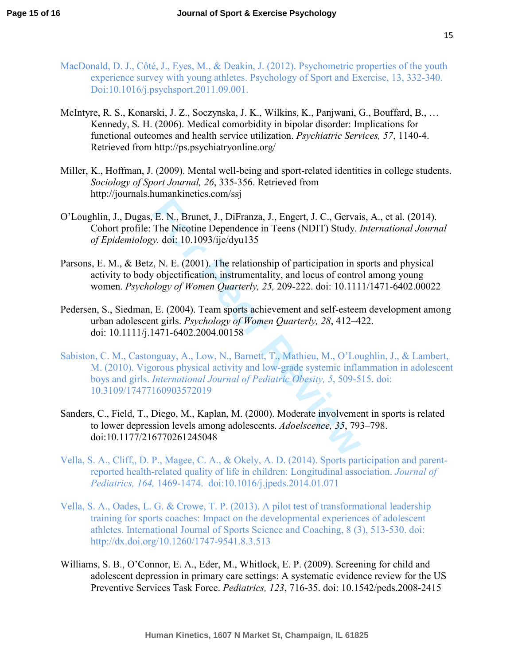- MacDonald, D. J., Côté, J., Eyes, M., & Deakin, J. (2012). Psychometric properties of the youth experience survey with young athletes. Psychology of Sport and Exercise, 13, 332-340. Doi:10.1016/j.psychsport.2011.09.001.
- McIntyre, R. S., Konarski, J. Z., Soczynska, J. K., Wilkins, K., Panjwani, G., Bouffard, B., … Kennedy, S. H. (2006). Medical comorbidity in bipolar disorder: Implications for functional outcomes and health service utilization. *Psychiatric Services, 57*, 1140-4. Retrieved from http://ps.psychiatryonline.org/
- Miller, K., Hoffman, J. (2009). Mental well-being and sport-related identities in college students. *Sociology of Sport Journal, 26*, 335-356. Retrieved from http://journals.humankinetics.com/ssj
- O'Loughlin, J., Dugas, E. N., Brunet, J., DiFranza, J., Engert, J. C., Gervais, A., et al. (2014). Cohort profile: The Nicotine Dependence in Teens (NDIT) Study. *International Journal of Epidemiology.* doi: 10.1093/ije/dyu135
- Parsons, E. M., & Betz, N. E. (2001). The relationship of participation in sports and physical activity to body objectification, instrumentality, and locus of control among young women. *Psychology of Women Quarterly, 25,* 209-222. doi: 10.1111/1471-6402.00022
- Pedersen, S., Siedman, E. (2004). Team sports achievement and self-esteem development among urban adolescent girls. *Psychology of Women Quarterly, 28*, 412–422. doi: 10.1111/j.1471-6402.2004.00158
- **F. N., Brunet, J., DiFranza, J., Engert, J. C., Gervainal The Nicotine Dependence in Teens (NDIT) Study.** *i y.* doi: 10.1093/ije/dyu135 <br> *t.* N. E. (2001). The relationship of participation in sy objectification, inst Sabiston, C. M., Castonguay, A., Low, N., Barnett, T., Mathieu, M., O'Loughlin, J., & Lambert, M. (2010). Vigorous physical activity and low-grade systemic inflammation in adolescent boys and girls. *International Journal of Pediatric Obesity, 5*, 509-515. doi: 10.3109/17477160903572019
- Sanders, C., Field, T., Diego, M., Kaplan, M. (2000). Moderate involvement in sports is related to lower depression levels among adolescents. *Adoelscence, 35*, 793–798. doi:10.1177/216770261245048
- Vella, S. A., Cliff,, D. P., Magee, C. A., & Okely, A. D. (2014). Sports participation and parentreported health-related quality of life in children: Longitudinal association. *Journal of Pediatrics, 164,* 1469-1474. doi:10.1016/j.jpeds.2014.01.071
- Vella, S. A., Oades, L. G. & Crowe, T. P. (2013). A pilot test of transformational leadership training for sports coaches: Impact on the developmental experiences of adolescent athletes. International Journal of Sports Science and Coaching, 8 (3), 513-530. doi: http://dx.doi.org/10.1260/1747-9541.8.3.513
- Williams, S. B., O'Connor, E. A., Eder, M., Whitlock, E. P. (2009). Screening for child and adolescent depression in primary care settings: A systematic evidence review for the US Preventive Services Task Force. *Pediatrics, 123*, 716-35. doi: 10.1542/peds.2008-2415